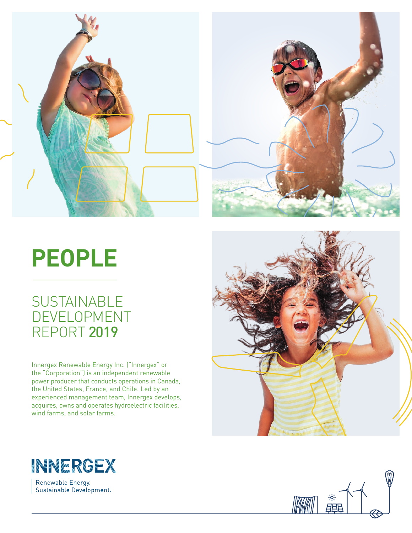

# **PEOPLE**

# **SUSTAINABLE** DEVELOPMENT REPORT 2019

Innergex Renewable Energy Inc. ("Innergex" or the "Corporation") is an independent renewable power producer that conducts operations in Canada, the United States, France, and Chile. Led by an experienced management team, Innergex develops, acquires, owns and operates hydroelectric facilities, wind farms, and solar farms.





Renewable Energy. Sustainable Development.

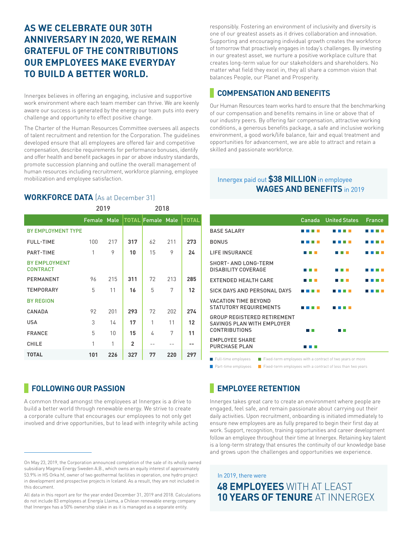# **AS WE CELEBRATE OUR 30TH ANNIVERSARY IN 2020, WE REMAIN GRATEFUL OF THE CONTRIBUTIONS OUR EMPLOYEES MAKE EVERYDAY TO BUILD A BETTER WORLD.**

Innergex believes in offering an engaging, inclusive and supportive work environment where each team member can thrive. We are keenly aware our success is generated by the energy our team puts into every challenge and opportunity to effect positive change.

The Charter of the Human Resources Committee oversees all aspects of talent recruitment and retention for the Corporation. The guidelines developed ensure that all employees are offered fair and competitive compensation, describe requirements for performance bonuses, identify and offer health and benefit packages in par or above industry standards, promote succession planning and outline the overall management of human resources including recruitment, workforce planning, employee mobilization and employee satisfaction.

#### **WORKFORCE DATA** (As at December 31)

|                                         | 2019        |     |                |                          |     |              |
|-----------------------------------------|-------------|-----|----------------|--------------------------|-----|--------------|
|                                         | Female Male |     |                | <b>TOTAL Female Male</b> |     | <b>TOTAL</b> |
| <b>BY EMPLOYMENT TYPE</b>               |             |     |                |                          |     |              |
| <b>FULL-TIME</b>                        | 100         | 217 | 317            | 62                       | 211 | 273          |
| PART-TIME                               | 1           | 9   | 10             | 15                       | 9   | 24           |
| <b>BY EMPLOYMENT</b><br><b>CONTRACT</b> |             |     |                |                          |     |              |
| PERMANENT                               | 96          | 215 | 311            | 72                       | 213 | 285          |
| <b>TEMPORARY</b>                        | 5           | 11  | 16             | 5                        | 7   | 12           |
| <b>BY REGION</b>                        |             |     |                |                          |     |              |
| CANADA                                  | 92          | 201 | 293            | 72                       | 202 | 274          |
| <b>USA</b>                              | 3           | 14  | 17             | 1                        | 11  | 12           |
| <b>FRANCE</b>                           | 5           | 10  | 15             | 4                        | 7   | 11           |
| <b>CHILE</b>                            | 1           | 1   | $\overline{2}$ |                          |     |              |
| <b>TOTAL</b>                            | 101         | 226 | 327            | 77                       | 220 | 297          |

#### **FOLLOWING OUR PASSION**

A common thread amongst the employees at Innergex is a drive to build a better world through renewable energy. We strive to create a corporate culture that encourages our employees to not only get involved and drive opportunities, but to lead with integrity while acting responsibly. Fostering an environment of inclusivity and diversity is one of our greatest assets as it drives collaboration and innovation. Supporting and encouraging individual growth creates the workforce of tomorrow that proactively engages in today's challenges. By investing in our greatest asset, we nurture a positive workplace culture that creates long-term value for our stakeholders and shareholders. No matter what field they excel in, they all share a common vision that balances People, our Planet and Prosperity.

#### **COMPENSATION AND BENEFITS**

Our Human Resources team works hard to ensure that the benchmarking of our compensation and benefits remains in line or above that of our industry peers. By offering fair compensation, attractive working conditions, a generous benefits package, a safe and inclusive working environment, a good work/life balance, fair and equal treatment and opportunities for advancement, we are able to attract and retain a skilled and passionate workforce.

#### Innergex paid out **\$38 MILLION** in employee **WAGES AND BENEFITS** in 2019

|                                                                                          | Canada | <b>United States</b> | France |
|------------------------------------------------------------------------------------------|--------|----------------------|--------|
| <b>BASE SALARY</b>                                                                       |        |                      |        |
| <b>BONUS</b>                                                                             |        |                      |        |
| <b>LIFF INSURANCE</b>                                                                    |        |                      |        |
| <b>SHORT-AND LONG-TERM</b><br>DISABILITY COVERAGE                                        |        |                      |        |
| <b>EXTENDED HEALTH CARE</b>                                                              | n m    |                      |        |
| SICK DAYS AND PERSONAL DAYS                                                              |        |                      |        |
| <b>VACATION TIME BEYOND</b><br>STATUTORY REQUIREMENTS                                    |        |                      |        |
| <b>GROUP REGISTERED RETIREMENT</b><br>SAVINGS PLAN WITH EMPLOYER<br><b>CONTRIBUTIONS</b> |        | T T                  |        |
| <b>EMPLOYEE SHARE</b><br><b>PURCHASE PLAN</b>                                            | THE R  |                      |        |
| Fixed-term employees with a contract of two years or more<br>Full-time employees         |        |                      |        |

**Part-time employees Fixed-term employees with a contract of less than two years** 

# **EMPLOYEE RETENTION**

Innergex takes great care to create an environment where people are engaged, feel safe, and remain passionate about carrying out their daily activities. Upon recruitment, onboarding is initiated immediately to ensure new employees are as fully prepared to begin their first day at work. Support, recognition, training opportunities and career development follow an employee throughout their time at Innergex. Retaining key talent is a long-term strategy that ensures the continuity of our knowledge base and grows upon the challenges and opportunities we experience.

# In 2019, there were **48 EMPLOYEES WITH AT LEAST 10 YEARS OF TENURE** AT INNERGEX

On May 23, 2019, the Corporation announced completion of the sale of its wholly owned subsidiary Magma Energy Sweden A.B., which owns an equity interest of approximately 53.9% in HS Orka hf, owner of two geothermal facilities in operation, one hydro project in development and prospective projects in Iceland. As a result, they are not included in this document.

All data in this report are for the year ended December 31, 2019 and 2018. Calculations do not include 83 employees at Energía Llaima, a Chilean renewable energy company that Innergex has a 50% ownership stake in as it is managed as a separate entity.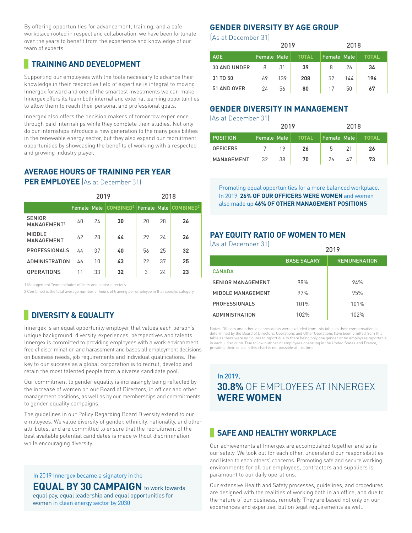By offering opportunities for advancement, training, and a safe workplace rooted in respect and collaboration, we have been fortunate over the years to benefit from the experience and knowledge of our team of experts.

## **TRAINING AND DEVELOPMENT**

Supporting our employees with the tools necessary to advance their knowledge in their respective field of expertise is integral to moving Innergex forward and one of the smartest investments we can make. Innergex offers its team both internal and external learning opportunities to allow them to reach their personal and professional goals.

Innergex also offers the decision makers of tomorrow experience through paid internships while they complete their studies. Not only do our internships introduce a new generation to the many possibilities in the renewable energy sector, but they also expand our recruitment opportunities by showcasing the benefits of working with a respected and growing industry player.

#### **AVERAGE HOURS OF TRAINING PER YEAR PER EMPLOYEE** (As at December 31)

|                                          | 2019 |    |                                                                           | 2018 |    |    |  |
|------------------------------------------|------|----|---------------------------------------------------------------------------|------|----|----|--|
|                                          |      |    | Female Male   COMBINED <sup>2</sup>   Female Male   COMBINED <sup>2</sup> |      |    |    |  |
| <b>SENIOR</b><br>MANAGEMENT <sup>1</sup> | 40   | 24 | 30                                                                        | 20   | 28 | 26 |  |
| <b>MIDDLE</b><br><b>MANAGEMENT</b>       | 62   | 28 | 44                                                                        | 29   | 24 | 26 |  |
| <b>PROFESSIONALS</b>                     | 44   | 37 | 40                                                                        | 56   | 25 | 32 |  |
| <b>ADMINISTRATION</b>                    | 46   | 10 | 43                                                                        | 22   | 37 | 25 |  |
| <b>OPERATIONS</b>                        | 11   | 33 | 32                                                                        | 3    | 24 | 23 |  |

1 Management Team includes officers and senior directors.

2 Combined is the total average number of hours of training per employee in that specific category.

# **DIVERSITY & EQUALITY**

Innergex is an equal opportunity employer that values each person's unique background, diversity, experiences, perspectives and talents. Innergex is committed to providing employees with a work environment free of discrimination and harassment and bases all employment decisions on business needs, job requirements and individual qualifications. The key to our success as a global corporation is to recruit, develop and retain the most talented people from a diverse candidate pool.

Our commitment to gender equality is increasingly being reflected by the increase of women on our Board of Directors, in officer and other management positions, as well as by our memberships and commitments to gender equality campaigns.

The guidelines in our Policy Regarding Board Diversity extend to our employees. We value diversity of gender, ethnicity, nationality, and other attributes, and are committed to ensure that the recruitment of the best available potential candidates is made without discrimination, while encouraging diversity.

#### In 2019 Innergex became a signatory in the

**EQUAL BY 30 CAMPAIGN** to work towards

equal pay, equal leadership and equal opportunities for women in clean energy sector by 2030

#### **GENDER DIVERSITY BY AGE GROUP**

(As at December 31)

|                     |                    | 2019 |              | 2018               |     |       |  |
|---------------------|--------------------|------|--------------|--------------------|-----|-------|--|
| <b>AGE</b>          | <b>Female Male</b> |      | <b>TOTAL</b> | <b>Female Male</b> |     | TOTAL |  |
| <b>30 AND UNDER</b> | 8                  | 31   | 39           | 8                  | 26  | 34    |  |
| 31 TO 50            | 69                 | 139  | 208          | 52                 | 144 | 196   |  |
| 51 AND OVER         | 24                 | 56   | 80           | 17                 | 50  | 67    |  |

#### **GENDER DIVERSITY IN MANAGEMENT**

(As at December 31)

|                 |                    | 2019 |       | 2018        |    |       |  |
|-----------------|--------------------|------|-------|-------------|----|-------|--|
| <b>POSITION</b> | <b>Female Male</b> |      | TOTAL | Female Male |    | TOTAL |  |
| <b>OFFICERS</b> |                    | 19   | 26    | 5           | 21 | 26    |  |
| MANAGEMENT      | 32                 | 38   | 70    | 26          | 47 | 73    |  |

Promoting equal opportunities for a more balanced workplace. In 2019, **26% OF OUR OFFICERS WERE WOMEN** and women also made up **46% OF OTHER MANAGEMENT POSITIONS** 

#### **PAY EQUITY RATIO OF WOMEN TO MEN**

| (As at December 31)      | 2019               |                     |  |  |  |
|--------------------------|--------------------|---------------------|--|--|--|
|                          | <b>BASE SALARY</b> | <b>REMUNERATION</b> |  |  |  |
| <b>CANADA</b>            |                    |                     |  |  |  |
| <b>SENIOR MANAGEMENT</b> | 98%                | 94%                 |  |  |  |
| MIDDLE MANAGEMENT        | 97%                | 95%                 |  |  |  |
| <b>PROFESSIONALS</b>     | 101%               | 101%                |  |  |  |
| <b>ADMINISTRATION</b>    | 102%               | 102%                |  |  |  |

Notes: Officers and other vice presidents were excluded from this table as their compensation is determined by the Board of Directors. Operations and Other Operations have been omitted from this table as there were no figures to report due to there being only one gender or no employees reportable in each jurisdiction. Due to low number of employees operating in the United States and France, providing their ratios in this chart is not possible at this time.

# In 2019, **30.8%** OF EMPLOYEES AT INNERGEX **WERE WOMEN**

#### **SAFE AND HEALTHY WORKPLACE**

Our achievements at Innergex are accomplished together and so is our safety. We look out for each other, understand our responsibilities and listen to each others' concerns. Promoting safe and secure working environments for all our employees, contractors and suppliers is paramount to our daily operations.

Our extensive Health and Safety processes, guidelines, and procedures are designed with the realities of working both in an office, and due to the nature of our business, remotely. They are based not only on our experiences and expertise, but on legal requirements as well.